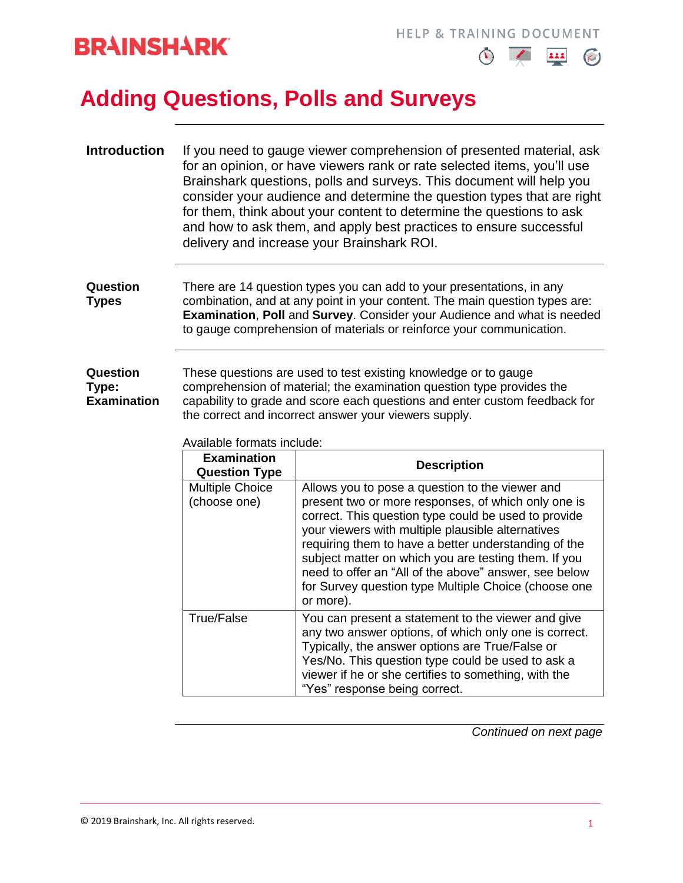



## **Adding Questions, Polls and Surveys**

| <b>Introduction</b>                     | If you need to gauge viewer comprehension of presented material, ask<br>for an opinion, or have viewers rank or rate selected items, you'll use<br>Brainshark questions, polls and surveys. This document will help you<br>consider your audience and determine the question types that are right<br>for them, think about your content to determine the questions to ask<br>and how to ask them, and apply best practices to ensure successful<br>delivery and increase your Brainshark ROI. |  |
|-----------------------------------------|-----------------------------------------------------------------------------------------------------------------------------------------------------------------------------------------------------------------------------------------------------------------------------------------------------------------------------------------------------------------------------------------------------------------------------------------------------------------------------------------------|--|
| Question<br><b>Types</b>                | There are 14 question types you can add to your presentations, in any<br>combination, and at any point in your content. The main question types are:<br><b>Examination, Poll and Survey. Consider your Audience and what is needed</b><br>to gauge comprehension of materials or reinforce your communication.                                                                                                                                                                                |  |
| Question<br>Type:<br><b>Examination</b> | These questions are used to test existing knowledge or to gauge<br>comprehension of material; the examination question type provides the<br>capability to grade and score each questions and enter custom feedback for                                                                                                                                                                                                                                                                        |  |

the correct and incorrect answer your viewers supply.

Available formats include:

| <b>Examination</b><br><b>Question Type</b> | <b>Description</b>                                                                                                                                                                                                                                                                                                                                                                                                                                                |
|--------------------------------------------|-------------------------------------------------------------------------------------------------------------------------------------------------------------------------------------------------------------------------------------------------------------------------------------------------------------------------------------------------------------------------------------------------------------------------------------------------------------------|
| <b>Multiple Choice</b><br>(choose one)     | Allows you to pose a question to the viewer and<br>present two or more responses, of which only one is<br>correct. This question type could be used to provide<br>your viewers with multiple plausible alternatives<br>requiring them to have a better understanding of the<br>subject matter on which you are testing them. If you<br>need to offer an "All of the above" answer, see below<br>for Survey question type Multiple Choice (choose one<br>or more). |
| <b>True/False</b>                          | You can present a statement to the viewer and give<br>any two answer options, of which only one is correct.<br>Typically, the answer options are True/False or<br>Yes/No. This question type could be used to ask a<br>viewer if he or she certifies to something, with the<br>"Yes" response being correct.                                                                                                                                                      |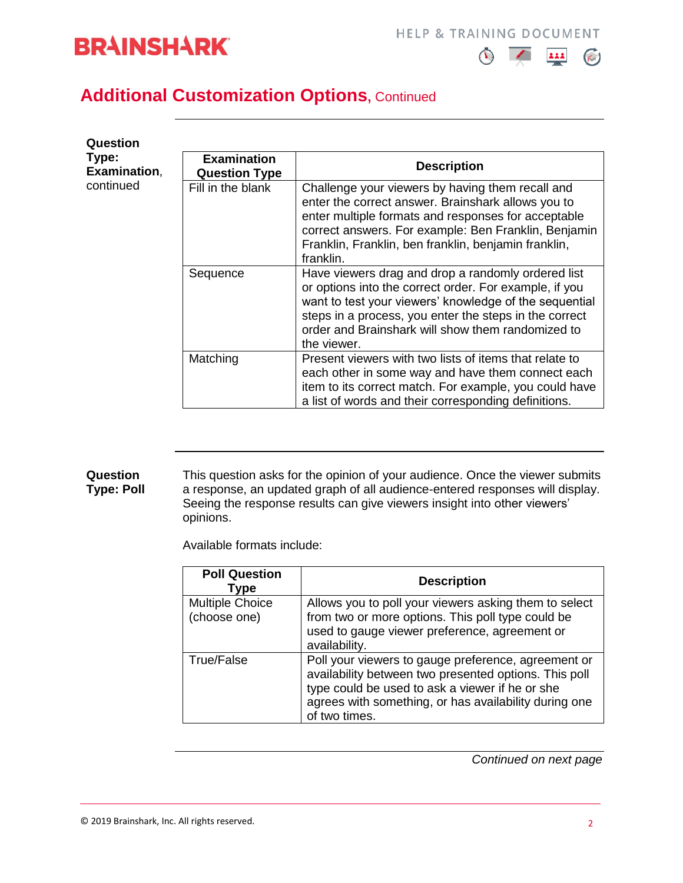



#### **Additional Customization Options, Continued**

| Question<br>Type:<br>Examination, | <b>Examination</b><br><b>Question Type</b> | <b>Description</b>                                                                                                                                                                                                                                                                                   |
|-----------------------------------|--------------------------------------------|------------------------------------------------------------------------------------------------------------------------------------------------------------------------------------------------------------------------------------------------------------------------------------------------------|
| continued                         | Fill in the blank                          | Challenge your viewers by having them recall and<br>enter the correct answer. Brainshark allows you to<br>enter multiple formats and responses for acceptable<br>correct answers. For example: Ben Franklin, Benjamin<br>Franklin, Franklin, ben franklin, benjamin franklin,<br>franklin.           |
|                                   | Sequence                                   | Have viewers drag and drop a randomly ordered list<br>or options into the correct order. For example, if you<br>want to test your viewers' knowledge of the sequential<br>steps in a process, you enter the steps in the correct<br>order and Brainshark will show them randomized to<br>the viewer. |
|                                   | Matching                                   | Present viewers with two lists of items that relate to<br>each other in some way and have them connect each<br>item to its correct match. For example, you could have<br>a list of words and their corresponding definitions.                                                                        |

#### **Question Type: Poll** This question asks for the opinion of your audience. Once the viewer submits a response, an updated graph of all audience-entered responses will display. Seeing the response results can give viewers insight into other viewers' opinions.

Available formats include:

| <b>Poll Question</b><br>Type           | <b>Description</b>                                                                                                                                                                                                                        |
|----------------------------------------|-------------------------------------------------------------------------------------------------------------------------------------------------------------------------------------------------------------------------------------------|
| <b>Multiple Choice</b><br>(choose one) | Allows you to poll your viewers asking them to select<br>from two or more options. This poll type could be<br>used to gauge viewer preference, agreement or<br>availability.                                                              |
| True/False                             | Poll your viewers to gauge preference, agreement or<br>availability between two presented options. This poll<br>type could be used to ask a viewer if he or she<br>agrees with something, or has availability during one<br>of two times. |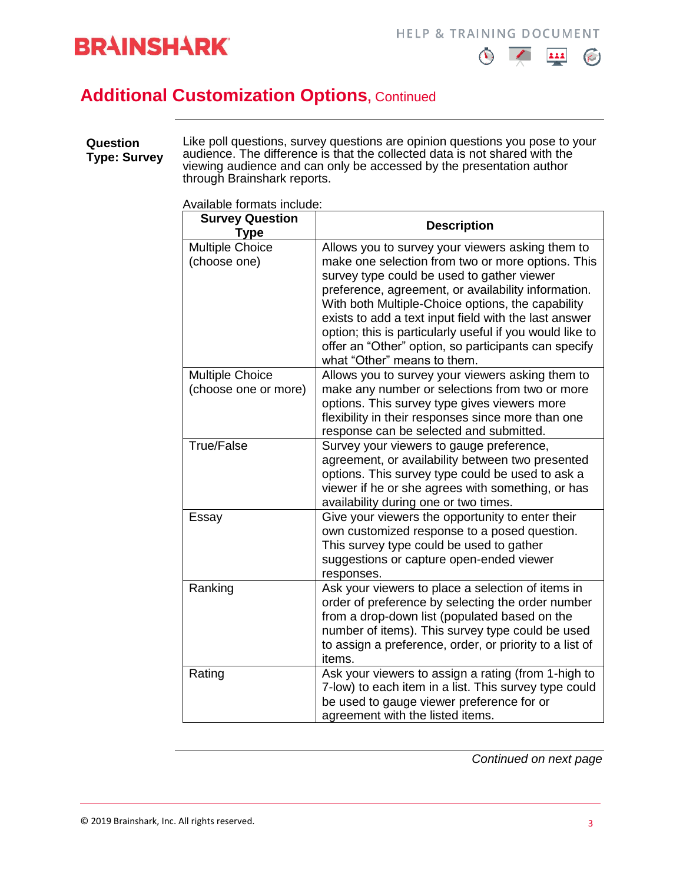



## **Additional Customization Options, Continued**

| Question<br><b>Type: Survey</b> | Like poll questions, survey questions are opinion questions you pose to your<br>audience. The difference is that the collected data is not shared with the<br>viewing audience and can only be accessed by the presentation author<br>through Brainshark reports. |
|---------------------------------|-------------------------------------------------------------------------------------------------------------------------------------------------------------------------------------------------------------------------------------------------------------------|
|---------------------------------|-------------------------------------------------------------------------------------------------------------------------------------------------------------------------------------------------------------------------------------------------------------------|

Available formats include:

| <b>Survey Question</b><br>Type                 | <b>Description</b>                                                                                                                                                                                                                                                                                                                                                                                                                                                          |
|------------------------------------------------|-----------------------------------------------------------------------------------------------------------------------------------------------------------------------------------------------------------------------------------------------------------------------------------------------------------------------------------------------------------------------------------------------------------------------------------------------------------------------------|
| <b>Multiple Choice</b><br>(choose one)         | Allows you to survey your viewers asking them to<br>make one selection from two or more options. This<br>survey type could be used to gather viewer<br>preference, agreement, or availability information.<br>With both Multiple-Choice options, the capability<br>exists to add a text input field with the last answer<br>option; this is particularly useful if you would like to<br>offer an "Other" option, so participants can specify<br>what "Other" means to them. |
| <b>Multiple Choice</b><br>(choose one or more) | Allows you to survey your viewers asking them to<br>make any number or selections from two or more<br>options. This survey type gives viewers more<br>flexibility in their responses since more than one<br>response can be selected and submitted.                                                                                                                                                                                                                         |
| <b>True/False</b>                              | Survey your viewers to gauge preference,<br>agreement, or availability between two presented<br>options. This survey type could be used to ask a<br>viewer if he or she agrees with something, or has<br>availability during one or two times.                                                                                                                                                                                                                              |
| Essay                                          | Give your viewers the opportunity to enter their<br>own customized response to a posed question.<br>This survey type could be used to gather<br>suggestions or capture open-ended viewer<br>responses.                                                                                                                                                                                                                                                                      |
| Ranking                                        | Ask your viewers to place a selection of items in<br>order of preference by selecting the order number<br>from a drop-down list (populated based on the<br>number of items). This survey type could be used<br>to assign a preference, order, or priority to a list of<br>items.                                                                                                                                                                                            |
| Rating                                         | Ask your viewers to assign a rating (from 1-high to<br>7-low) to each item in a list. This survey type could<br>be used to gauge viewer preference for or<br>agreement with the listed items.                                                                                                                                                                                                                                                                               |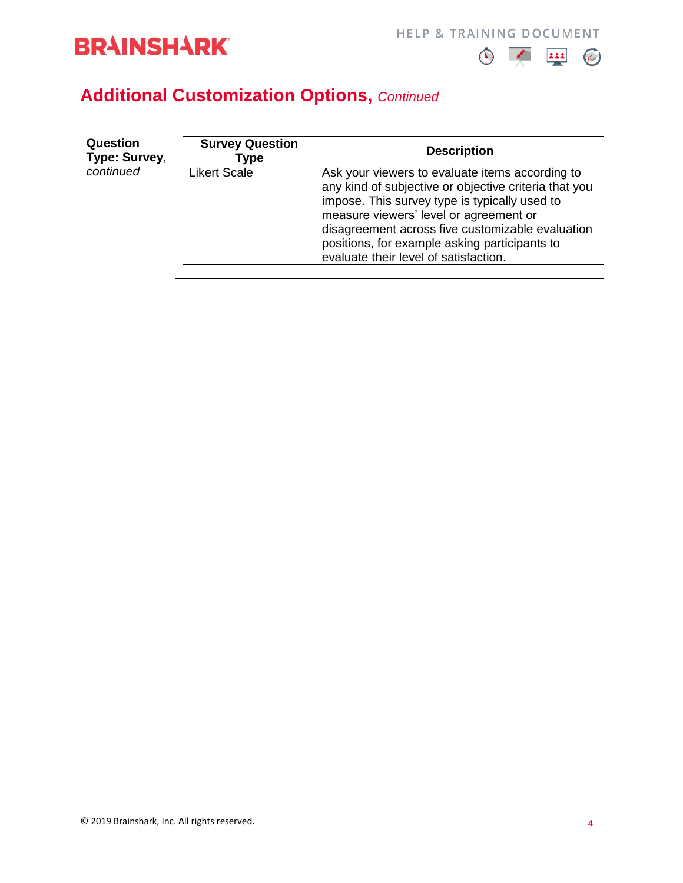

**HELP & TRAINING DOCUMENT** 



## **Additional Customization Options,** *Continued*

| Question<br>Type: Survey, | <b>Survey Question</b><br>Type | <b>Description</b>                                                                                                                                                                                                                                                                                                                                |
|---------------------------|--------------------------------|---------------------------------------------------------------------------------------------------------------------------------------------------------------------------------------------------------------------------------------------------------------------------------------------------------------------------------------------------|
| continued                 | <b>Likert Scale</b>            | Ask your viewers to evaluate items according to<br>any kind of subjective or objective criteria that you<br>impose. This survey type is typically used to<br>measure viewers' level or agreement or<br>disagreement across five customizable evaluation<br>positions, for example asking participants to<br>evaluate their level of satisfaction. |

© 2019 Brainshark, Inc. All rights reserved.  $\frac{4}{3}$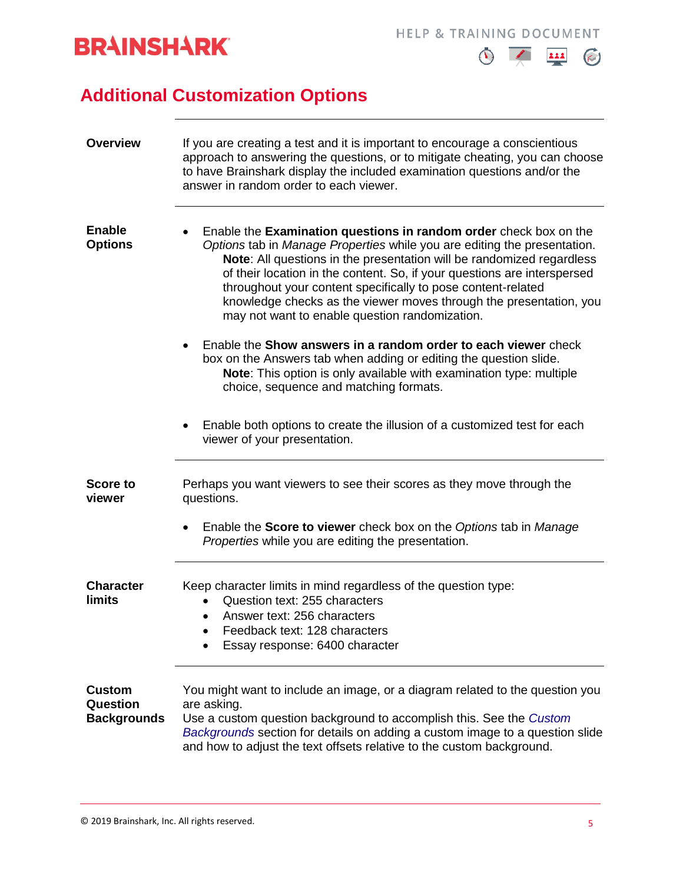



## **Additional Customization Options**

| <b>Overview</b>                                        | If you are creating a test and it is important to encourage a conscientious<br>approach to answering the questions, or to mitigate cheating, you can choose<br>to have Brainshark display the included examination questions and/or the<br>answer in random order to each viewer.                                                                                                                                                                                                          |  |  |
|--------------------------------------------------------|--------------------------------------------------------------------------------------------------------------------------------------------------------------------------------------------------------------------------------------------------------------------------------------------------------------------------------------------------------------------------------------------------------------------------------------------------------------------------------------------|--|--|
| <b>Enable</b><br><b>Options</b>                        | Enable the Examination questions in random order check box on the<br>Options tab in Manage Properties while you are editing the presentation.<br>Note: All questions in the presentation will be randomized regardless<br>of their location in the content. So, if your questions are interspersed<br>throughout your content specifically to pose content-related<br>knowledge checks as the viewer moves through the presentation, you<br>may not want to enable question randomization. |  |  |
|                                                        | Enable the Show answers in a random order to each viewer check<br>box on the Answers tab when adding or editing the question slide.<br>Note: This option is only available with examination type: multiple<br>choice, sequence and matching formats.                                                                                                                                                                                                                                       |  |  |
|                                                        | Enable both options to create the illusion of a customized test for each<br>viewer of your presentation.                                                                                                                                                                                                                                                                                                                                                                                   |  |  |
| <b>Score to</b><br>viewer                              | Perhaps you want viewers to see their scores as they move through the<br>questions.                                                                                                                                                                                                                                                                                                                                                                                                        |  |  |
|                                                        | Enable the <b>Score to viewer</b> check box on the Options tab in Manage<br>$\bullet$<br>Properties while you are editing the presentation.                                                                                                                                                                                                                                                                                                                                                |  |  |
| <b>Character</b><br>limits                             | Keep character limits in mind regardless of the question type:<br>Question text: 255 characters<br>Answer text: 256 characters<br>Feedback text: 128 characters<br>Essay response: 6400 character                                                                                                                                                                                                                                                                                          |  |  |
| <b>Custom</b><br><b>Question</b><br><b>Backgrounds</b> | You might want to include an image, or a diagram related to the question you<br>are asking.<br>Use a custom question background to accomplish this. See the Custom<br>Backgrounds section for details on adding a custom image to a question slide<br>and how to adjust the text offsets relative to the custom background.                                                                                                                                                                |  |  |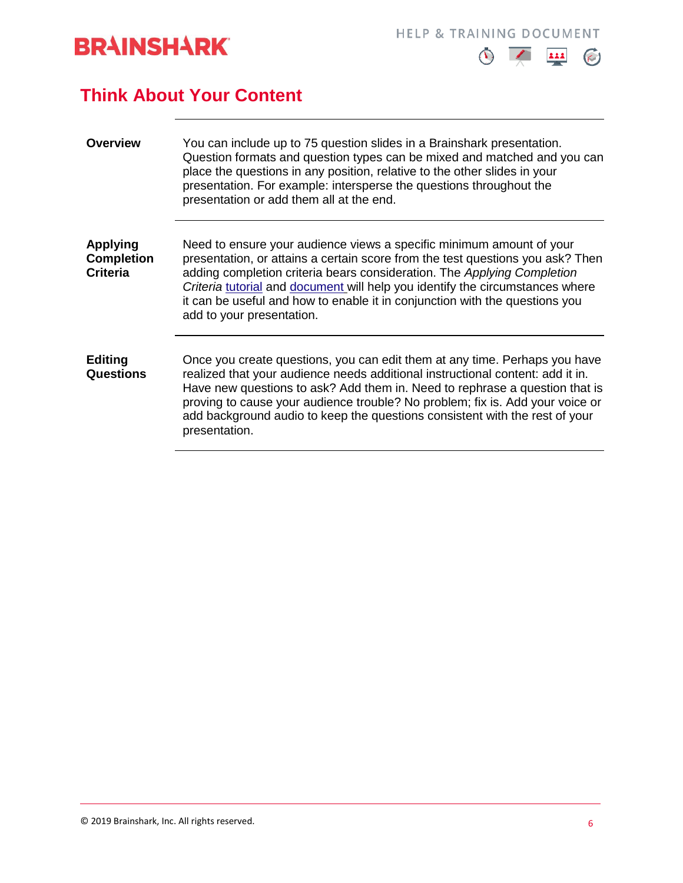

**HELP & TRAINING DOCUMENT** 



#### **Think About Your Content**

| <b>Overview</b>                                         | You can include up to 75 question slides in a Brainshark presentation.<br>Question formats and question types can be mixed and matched and you can<br>place the questions in any position, relative to the other slides in your<br>presentation. For example: intersperse the questions throughout the<br>presentation or add them all at the end.                                                                             |
|---------------------------------------------------------|--------------------------------------------------------------------------------------------------------------------------------------------------------------------------------------------------------------------------------------------------------------------------------------------------------------------------------------------------------------------------------------------------------------------------------|
| <b>Applying</b><br><b>Completion</b><br><b>Criteria</b> | Need to ensure your audience views a specific minimum amount of your<br>presentation, or attains a certain score from the test questions you ask? Then<br>adding completion criteria bears consideration. The Applying Completion<br>Criteria tutorial and document will help you identify the circumstances where<br>it can be useful and how to enable it in conjunction with the questions you<br>add to your presentation. |
| <b>Editing</b><br><b>Questions</b>                      | Once you create questions, you can edit them at any time. Perhaps you have<br>realized that your audience needs additional instructional content: add it in.<br>Have new questions to ask? Add them in. Need to rephrase a question that is<br>proving to cause your audience trouble? No problem; fix is. Add your voice or<br>add background audio to keep the questions consistent with the rest of your<br>presentation.   |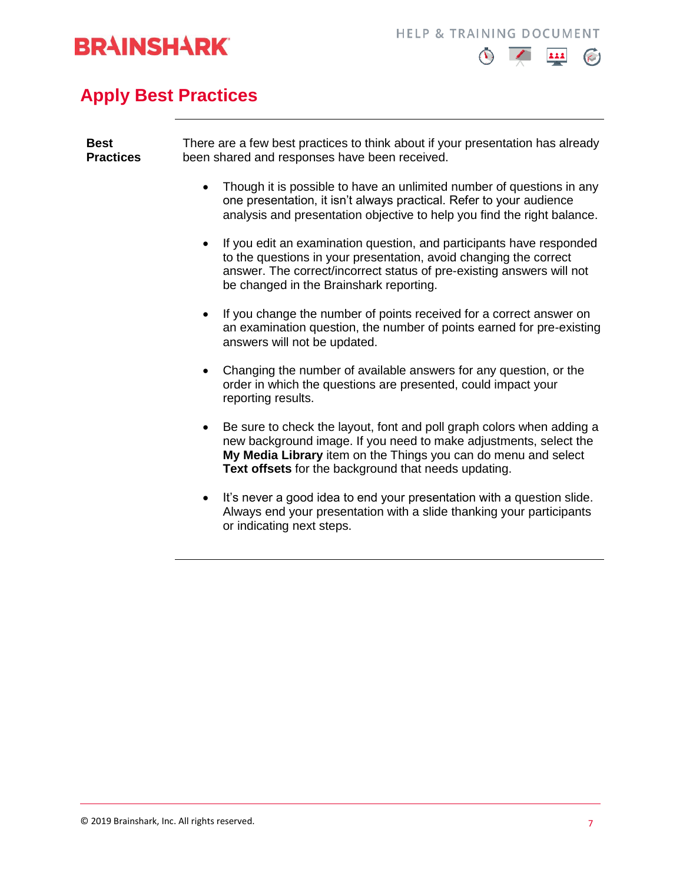



## **Apply Best Practices**

| <b>Best</b><br><b>Practices</b> | There are a few best practices to think about if your presentation has already<br>been shared and responses have been received.                                                                                                                                      |  |
|---------------------------------|----------------------------------------------------------------------------------------------------------------------------------------------------------------------------------------------------------------------------------------------------------------------|--|
|                                 | Though it is possible to have an unlimited number of questions in any<br>one presentation, it isn't always practical. Refer to your audience<br>analysis and presentation objective to help you find the right balance.                                              |  |
|                                 | If you edit an examination question, and participants have responded<br>to the questions in your presentation, avoid changing the correct<br>answer. The correct/incorrect status of pre-existing answers will not<br>be changed in the Brainshark reporting.        |  |
|                                 | If you change the number of points received for a correct answer on<br>an examination question, the number of points earned for pre-existing<br>answers will not be updated.                                                                                         |  |
|                                 | Changing the number of available answers for any question, or the<br>order in which the questions are presented, could impact your<br>reporting results.                                                                                                             |  |
|                                 | Be sure to check the layout, font and poll graph colors when adding a<br>new background image. If you need to make adjustments, select the<br>My Media Library item on the Things you can do menu and select<br>Text offsets for the background that needs updating. |  |
|                                 | It's never a good idea to end your presentation with a question slide.<br>$\bullet$<br>Always end your presentation with a slide thanking your participants<br>or indicating next steps.                                                                             |  |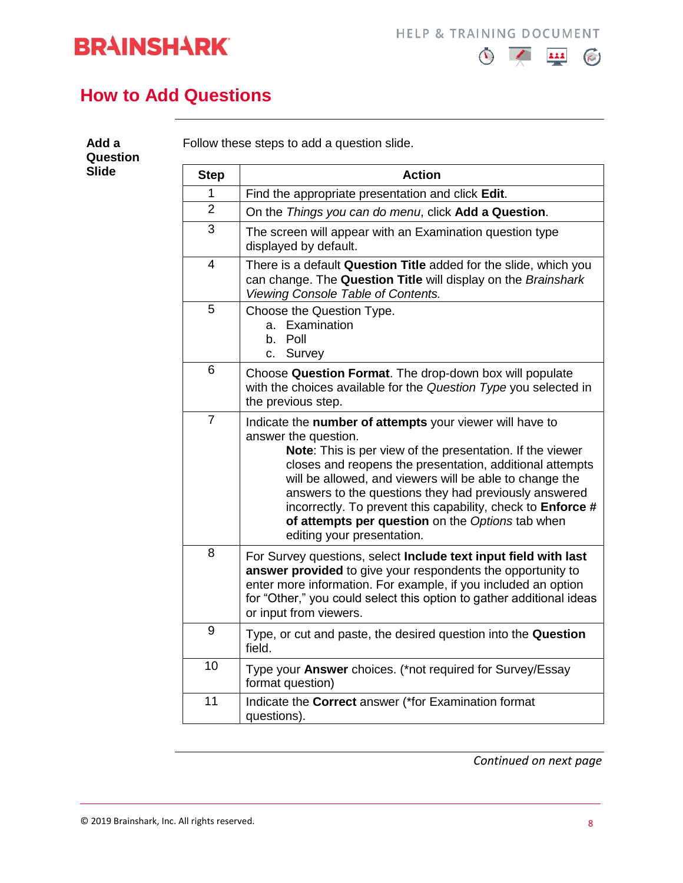



#### **How to Add Questions**

<span id="page-7-0"></span>

| <b>Slide</b> | <b>Step</b>    | <b>Action</b>                                                                                                                                                                                                                                                                                                                                                                                                                                                                  |
|--------------|----------------|--------------------------------------------------------------------------------------------------------------------------------------------------------------------------------------------------------------------------------------------------------------------------------------------------------------------------------------------------------------------------------------------------------------------------------------------------------------------------------|
|              | 1              | Find the appropriate presentation and click Edit.                                                                                                                                                                                                                                                                                                                                                                                                                              |
|              | $\overline{2}$ | On the Things you can do menu, click Add a Question.                                                                                                                                                                                                                                                                                                                                                                                                                           |
|              | 3              | The screen will appear with an Examination question type<br>displayed by default.                                                                                                                                                                                                                                                                                                                                                                                              |
|              | 4              | There is a default Question Title added for the slide, which you<br>can change. The Question Title will display on the Brainshark<br>Viewing Console Table of Contents.                                                                                                                                                                                                                                                                                                        |
|              | 5              | Choose the Question Type.<br>a. Examination<br>b. Poll<br>c. Survey                                                                                                                                                                                                                                                                                                                                                                                                            |
|              | 6              | Choose Question Format. The drop-down box will populate<br>with the choices available for the Question Type you selected in<br>the previous step.                                                                                                                                                                                                                                                                                                                              |
|              | $\overline{7}$ | Indicate the number of attempts your viewer will have to<br>answer the question.<br>Note: This is per view of the presentation. If the viewer<br>closes and reopens the presentation, additional attempts<br>will be allowed, and viewers will be able to change the<br>answers to the questions they had previously answered<br>incorrectly. To prevent this capability, check to Enforce #<br>of attempts per question on the Options tab when<br>editing your presentation. |
|              | 8              | For Survey questions, select Include text input field with last<br>answer provided to give your respondents the opportunity to<br>enter more information. For example, if you included an option<br>for "Other," you could select this option to gather additional ideas<br>or input from viewers.                                                                                                                                                                             |
|              | 9              | Type, or cut and paste, the desired question into the Question<br>field.                                                                                                                                                                                                                                                                                                                                                                                                       |
|              | 10             | Type your Answer choices. (*not required for Survey/Essay<br>format question)                                                                                                                                                                                                                                                                                                                                                                                                  |
|              | 11             | Indicate the <b>Correct</b> answer (*for Examination format<br>questions).                                                                                                                                                                                                                                                                                                                                                                                                     |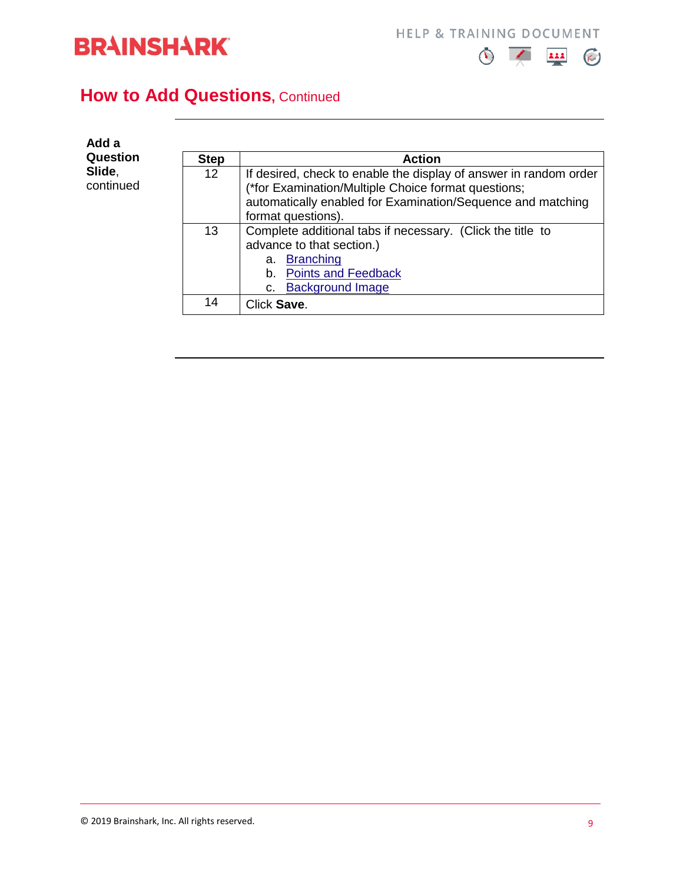



### **How to Add Questions, Continued**

| Add a                           |                   |                                                                                                                                                                                                               |
|---------------------------------|-------------------|---------------------------------------------------------------------------------------------------------------------------------------------------------------------------------------------------------------|
| Question<br>Slide,<br>continued | <b>Step</b>       | <b>Action</b>                                                                                                                                                                                                 |
|                                 | $12 \overline{ }$ | If desired, check to enable the display of answer in random order<br>(*for Examination/Multiple Choice format questions;<br>automatically enabled for Examination/Sequence and matching<br>format questions). |
|                                 | 13                | Complete additional tabs if necessary. (Click the title to<br>advance to that section.)<br>a. Branching<br><b>Points and Feedback</b><br>b.<br><b>Background Image</b><br>C.                                  |
|                                 | 14                | Click Save.                                                                                                                                                                                                   |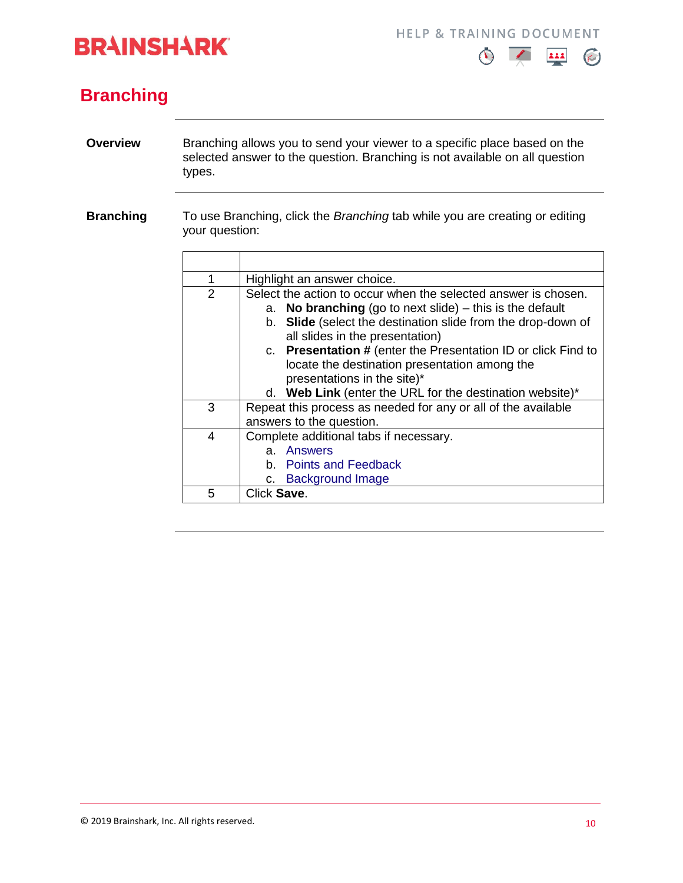# **BRAINSHARK**

**HELP & TRAINING DOCUMENT** 



### <span id="page-9-0"></span>**Branching**

- <span id="page-9-1"></span>**Overview** Branching allows you to send your viewer to a specific place based on the selected answer to the question. Branching is not available on all question types.
- **Branching** To use Branching, click the *Branching* tab while you are creating or editing your question:

| 1 | Highlight an answer choice.                                                                                                                                                                                                                                                                                                                                                                                                                  |  |  |  |
|---|----------------------------------------------------------------------------------------------------------------------------------------------------------------------------------------------------------------------------------------------------------------------------------------------------------------------------------------------------------------------------------------------------------------------------------------------|--|--|--|
| 2 | Select the action to occur when the selected answer is chosen.<br>a. No branching (go to next slide) $-$ this is the default<br>b. Slide (select the destination slide from the drop-down of<br>all slides in the presentation)<br>c. Presentation # (enter the Presentation ID or click Find to<br>locate the destination presentation among the<br>presentations in the site)*<br>d. Web Link (enter the URL for the destination website)* |  |  |  |
| 3 | Repeat this process as needed for any or all of the available                                                                                                                                                                                                                                                                                                                                                                                |  |  |  |
|   | answers to the question.                                                                                                                                                                                                                                                                                                                                                                                                                     |  |  |  |
| 4 | Complete additional tabs if necessary.<br>a. Answers<br>b. Points and Feedback<br>c. Background Image                                                                                                                                                                                                                                                                                                                                        |  |  |  |
| 5 | Click Save.                                                                                                                                                                                                                                                                                                                                                                                                                                  |  |  |  |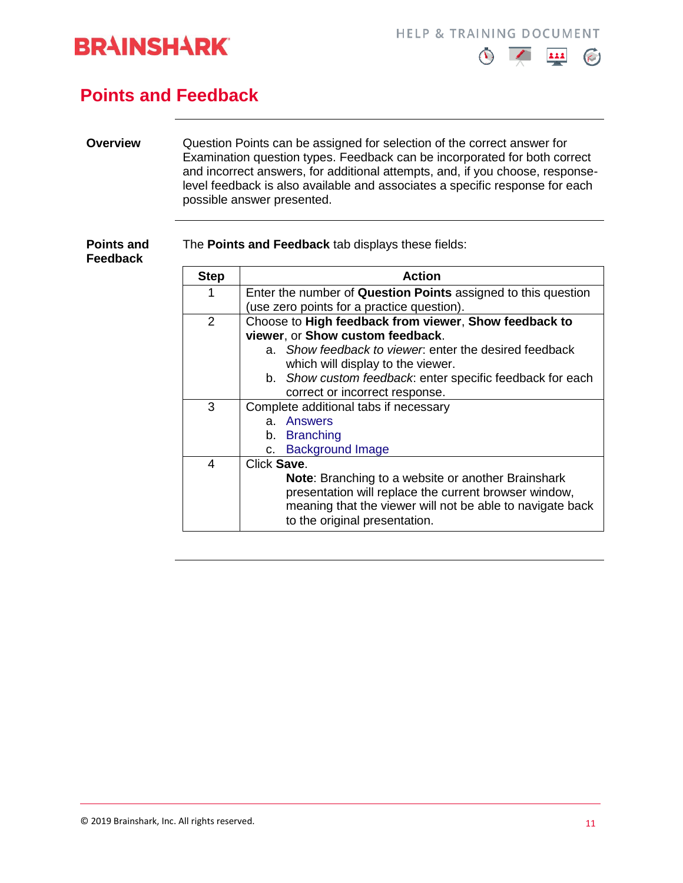



#### <span id="page-10-0"></span>**Points and Feedback**

#### **Overview** Question Points can be assigned for selection of the correct answer for Examination question types. Feedback can be incorporated for both correct and incorrect answers, for additional attempts, and, if you choose, responselevel feedback is also available and associates a specific response for each possible answer presented.

The **Points and Feedback** tab displays these fields:

| <b>Points and</b><br><b>Feedback</b> | The Points and Feedback tab displays these fields: |                                                                                                                                                                                                                  |  |  |
|--------------------------------------|----------------------------------------------------|------------------------------------------------------------------------------------------------------------------------------------------------------------------------------------------------------------------|--|--|
|                                      | <b>Step</b>                                        | <b>Action</b>                                                                                                                                                                                                    |  |  |
|                                      |                                                    | Enter the number of Question Points assigned to this question<br>(use zero points for a practice question).                                                                                                      |  |  |
|                                      | $\overline{2}$                                     | Choose to High feedback from viewer, Show feedback to<br>viewer, or Show custom feedback.                                                                                                                        |  |  |
|                                      |                                                    | a. Show feedback to viewer, enter the desired feedback<br>which will display to the viewer.                                                                                                                      |  |  |
|                                      |                                                    | b. Show custom feedback: enter specific feedback for each<br>correct or incorrect response.                                                                                                                      |  |  |
|                                      | 3                                                  | Complete additional tabs if necessary                                                                                                                                                                            |  |  |
|                                      |                                                    | <b>Answers</b><br>$a_{-}$<br>b. Branching                                                                                                                                                                        |  |  |
|                                      |                                                    | <b>Background Image</b><br>C.                                                                                                                                                                                    |  |  |
|                                      | 4                                                  | Click Save.                                                                                                                                                                                                      |  |  |
|                                      |                                                    | <b>Note:</b> Branching to a website or another Brainshark<br>presentation will replace the current browser window,<br>meaning that the viewer will not be able to navigate back<br>to the original presentation. |  |  |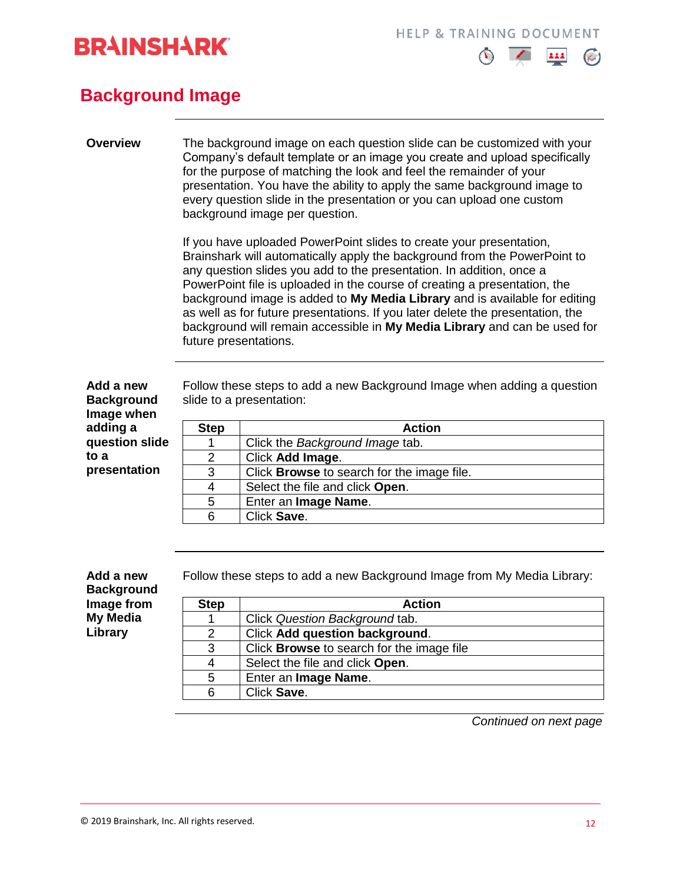



#### <span id="page-11-0"></span>**Background Image**

#### **Overview** The background image on each question slide can be customized with your Company's default template or an image you create and upload specifically for the purpose of matching the look and feel the remainder of your presentation. You have the ability to apply the same background image to every question slide in the presentation or you can upload one custom background image per question.

If you have uploaded PowerPoint slides to create your presentation, Brainshark will automatically apply the background from the PowerPoint to any question slides you add to the presentation. In addition, once a PowerPoint file is uploaded in the course of creating a presentation, the background image is added to **My Media Library** and is available for editing as well as for future presentations. If you later delete the presentation, the background will remain accessible in **My Media Library** and can be used for future presentations.

**Add a new Background Image when adding a question slide to a presentation**

Follow these steps to add a new Background Image when adding a question slide to a presentation:

| <b>Step</b> | <b>Action</b>                                     |
|-------------|---------------------------------------------------|
|             | Click the Background Image tab.                   |
| 2           | Click Add Image.                                  |
| 3           | Click <b>Browse</b> to search for the image file. |
| 4           | Select the file and click Open.                   |
| 5           | Enter an Image Name.                              |
| 6           | Click Save.                                       |

**Add a new Background Image from My Media Library**

Follow these steps to add a new Background Image from My Media Library:

| <b>Step</b> | <b>Action</b>                                    |
|-------------|--------------------------------------------------|
|             | Click Question Background tab.                   |
| 2           | <b>Click Add question background.</b>            |
| 3           | Click <b>Browse</b> to search for the image file |
| 4           | Select the file and click Open.                  |
| 5           | Enter an Image Name.                             |
| 6           | Click Save.                                      |